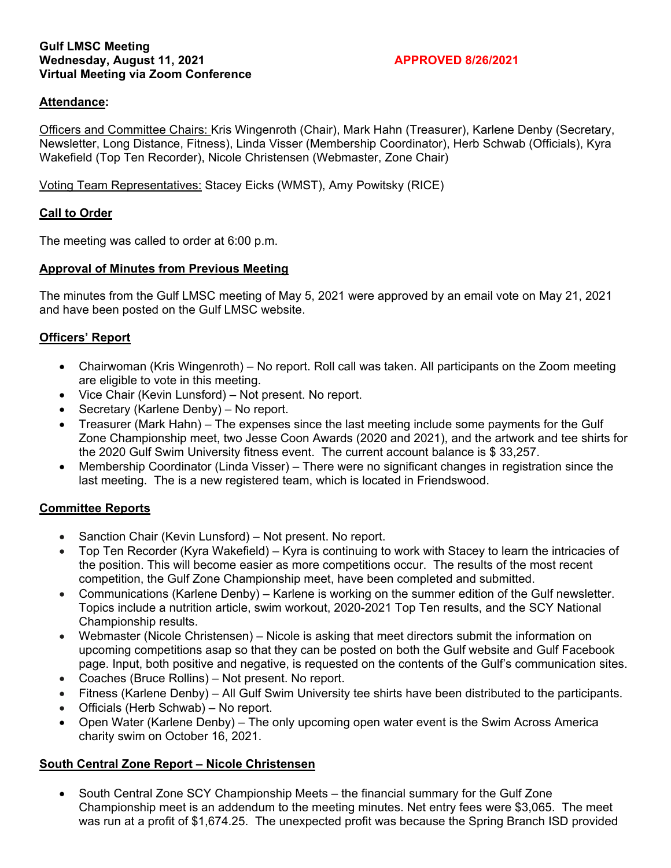#### **Gulf LMSC Meeting**  Wednesday, August 11, 2021 **APPROVED 8/26/2021 Virtual Meeting via Zoom Conference**

## **Attendance:**

Officers and Committee Chairs: Kris Wingenroth (Chair), Mark Hahn (Treasurer), Karlene Denby (Secretary, Newsletter, Long Distance, Fitness), Linda Visser (Membership Coordinator), Herb Schwab (Officials), Kyra Wakefield (Top Ten Recorder), Nicole Christensen (Webmaster, Zone Chair)

Voting Team Representatives: Stacey Eicks (WMST), Amy Powitsky (RICE)

## **Call to Order**

The meeting was called to order at 6:00 p.m.

### **Approval of Minutes from Previous Meeting**

The minutes from the Gulf LMSC meeting of May 5, 2021 were approved by an email vote on May 21, 2021 and have been posted on the Gulf LMSC website.

## **Officers' Report**

- Chairwoman (Kris Wingenroth) No report. Roll call was taken. All participants on the Zoom meeting are eligible to vote in this meeting.
- Vice Chair (Kevin Lunsford) Not present. No report.
- Secretary (Karlene Denby) No report.
- Treasurer (Mark Hahn) The expenses since the last meeting include some payments for the Gulf Zone Championship meet, two Jesse Coon Awards (2020 and 2021), and the artwork and tee shirts for the 2020 Gulf Swim University fitness event. The current account balance is \$ 33,257.
- Membership Coordinator (Linda Visser) There were no significant changes in registration since the last meeting. The is a new registered team, which is located in Friendswood.

### **Committee Reports**

- Sanction Chair (Kevin Lunsford) Not present. No report.
- Top Ten Recorder (Kyra Wakefield) Kyra is continuing to work with Stacey to learn the intricacies of the position. This will become easier as more competitions occur. The results of the most recent competition, the Gulf Zone Championship meet, have been completed and submitted.
- Communications (Karlene Denby) Karlene is working on the summer edition of the Gulf newsletter. Topics include a nutrition article, swim workout, 2020-2021 Top Ten results, and the SCY National Championship results.
- Webmaster (Nicole Christensen) Nicole is asking that meet directors submit the information on upcoming competitions asap so that they can be posted on both the Gulf website and Gulf Facebook page. Input, both positive and negative, is requested on the contents of the Gulf's communication sites.
- Coaches (Bruce Rollins) Not present. No report.
- Fitness (Karlene Denby) All Gulf Swim University tee shirts have been distributed to the participants.
- Officials (Herb Schwab) No report.
- Open Water (Karlene Denby) The only upcoming open water event is the Swim Across America charity swim on October 16, 2021.

# **South Central Zone Report – Nicole Christensen**

• South Central Zone SCY Championship Meets – the financial summary for the Gulf Zone Championship meet is an addendum to the meeting minutes. Net entry fees were \$3,065. The meet was run at a profit of \$1,674.25. The unexpected profit was because the Spring Branch ISD provided